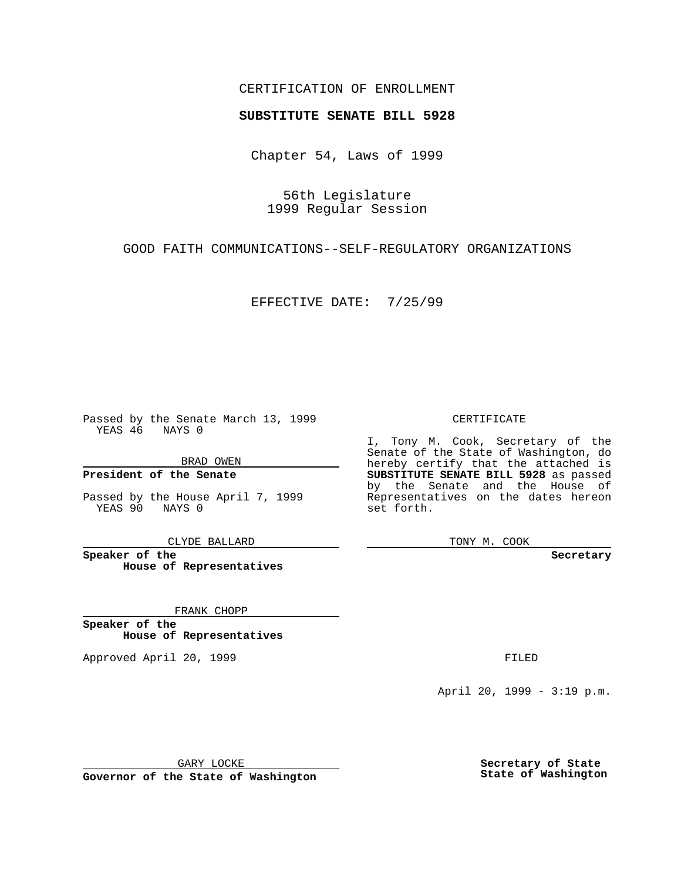## CERTIFICATION OF ENROLLMENT

## **SUBSTITUTE SENATE BILL 5928**

Chapter 54, Laws of 1999

56th Legislature 1999 Regular Session

GOOD FAITH COMMUNICATIONS--SELF-REGULATORY ORGANIZATIONS

EFFECTIVE DATE: 7/25/99

Passed by the Senate March 13, 1999 YEAS 46 NAYS 0

BRAD OWEN

**President of the Senate**

Passed by the House April 7, 1999 YEAS 90 NAYS 0

CLYDE BALLARD

**Speaker of the House of Representatives**

FRANK CHOPP

**Speaker of the House of Representatives**

Approved April 20, 1999 **FILED** 

## CERTIFICATE

I, Tony M. Cook, Secretary of the Senate of the State of Washington, do hereby certify that the attached is **SUBSTITUTE SENATE BILL 5928** as passed by the Senate and the House of Representatives on the dates hereon set forth.

TONY M. COOK

**Secretary**

April 20, 1999 - 3:19 p.m.

GARY LOCKE

**Governor of the State of Washington**

**Secretary of State State of Washington**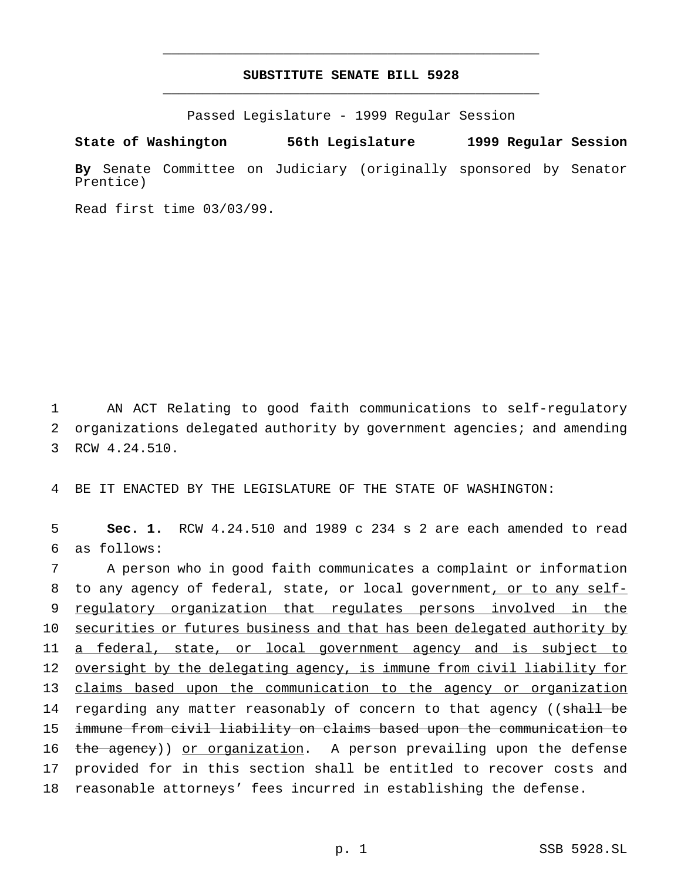## **SUBSTITUTE SENATE BILL 5928** \_\_\_\_\_\_\_\_\_\_\_\_\_\_\_\_\_\_\_\_\_\_\_\_\_\_\_\_\_\_\_\_\_\_\_\_\_\_\_\_\_\_\_\_\_\_\_

\_\_\_\_\_\_\_\_\_\_\_\_\_\_\_\_\_\_\_\_\_\_\_\_\_\_\_\_\_\_\_\_\_\_\_\_\_\_\_\_\_\_\_\_\_\_\_

Passed Legislature - 1999 Regular Session

**State of Washington 56th Legislature 1999 Regular Session**

**By** Senate Committee on Judiciary (originally sponsored by Senator Prentice)

Read first time 03/03/99.

1 AN ACT Relating to good faith communications to self-regulatory 2 organizations delegated authority by government agencies; and amending 3 RCW 4.24.510.

4 BE IT ENACTED BY THE LEGISLATURE OF THE STATE OF WASHINGTON:

5 **Sec. 1.** RCW 4.24.510 and 1989 c 234 s 2 are each amended to read 6 as follows:

 A person who in good faith communicates a complaint or information 8 to any agency of federal, state, or local government, or to any self- regulatory organization that regulates persons involved in the 10 securities or futures business and that has been delegated authority by a federal, state, or local government agency and is subject to oversight by the delegating agency, is immune from civil liability for claims based upon the communication to the agency or organization 14 regarding any matter reasonably of concern to that agency ((shall be immune from civil liability on claims based upon the communication to 16 the agency)) or organization. A person prevailing upon the defense provided for in this section shall be entitled to recover costs and reasonable attorneys' fees incurred in establishing the defense.